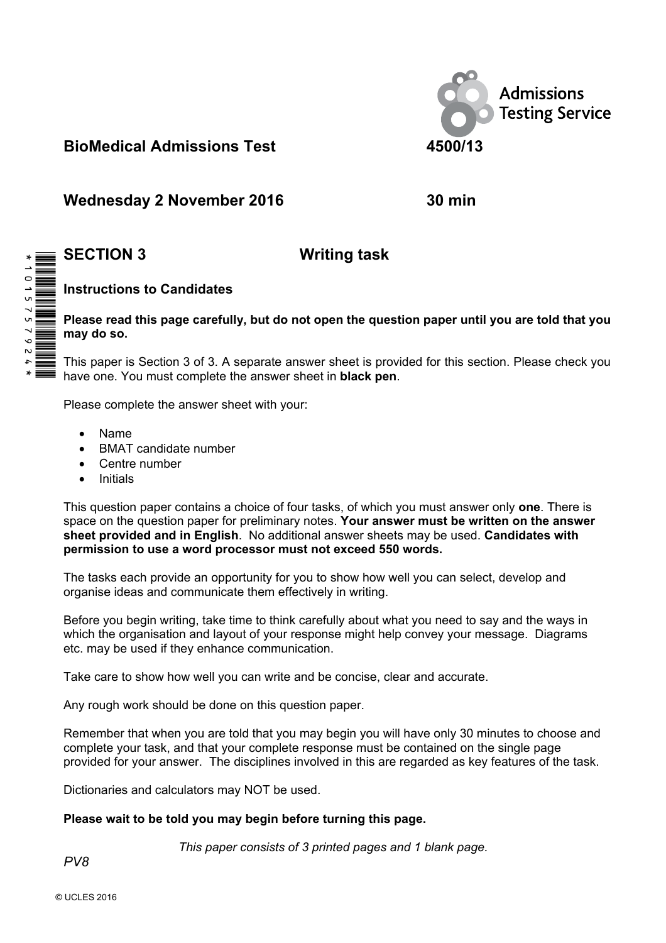

# **BioMedical Admissions Test 4500/13**

Wednesday 2 November 2016 **30 min** 

# **SECTION 3 Writing task**

# **Instructions to Candidates**

## **Please read this page carefully, but do not open the question paper until you are told that you may do so.**

This paper is Section 3 of 3. A separate answer sheet is provided for this section. Please check you have one. You must complete the answer sheet in **black pen**.

Please complete the answer sheet with your:

- Name
- BMAT candidate number
- Centre number
- **Initials**

This question paper contains a choice of four tasks, of which you must answer only **one**. There is space on the question paper for preliminary notes. **Your answer must be written on the answer sheet provided and in English**. No additional answer sheets may be used. **Candidates with permission to use a word processor must not exceed 550 words.** 

The tasks each provide an opportunity for you to show how well you can select, develop and organise ideas and communicate them effectively in writing.

Before you begin writing, take time to think carefully about what you need to say and the ways in which the organisation and layout of your response might help convey your message. Diagrams etc. may be used if they enhance communication.

Take care to show how well you can write and be concise, clear and accurate.

Any rough work should be done on this question paper.

Remember that when you are told that you may begin you will have only 30 minutes to choose and complete your task, and that your complete response must be contained on the single page provided for your answer. The disciplines involved in this are regarded as key features of the task.

Dictionaries and calculators may NOT be used.

## **Please wait to be told you may begin before turning this page.**

*This paper consists of 3 printed pages and 1 blank page.* 



*PV8*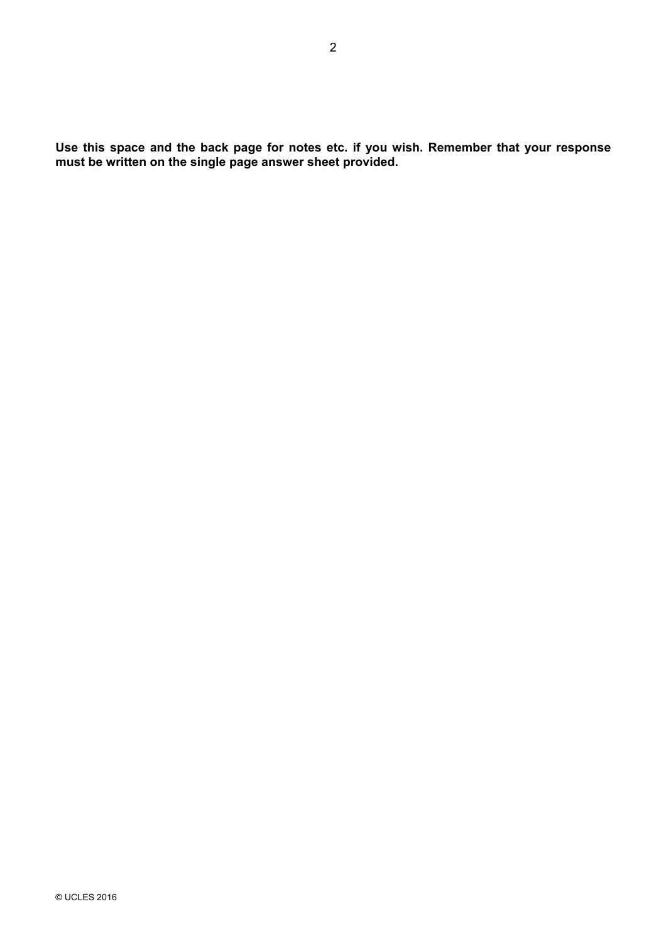**Use this space and the back page for notes etc. if you wish. Remember that your response must be written on the single page answer sheet provided.**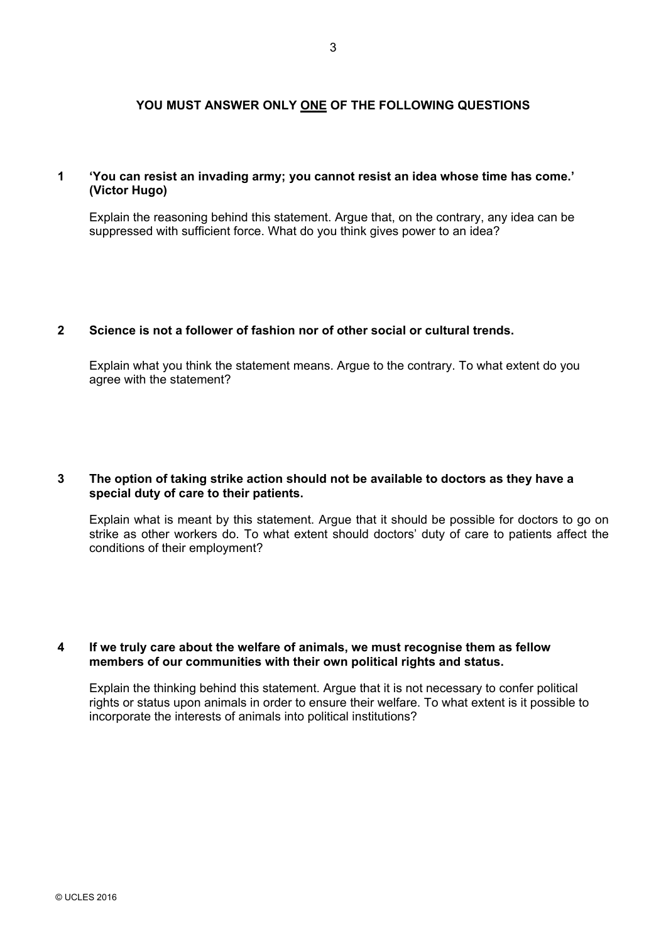## **YOU MUST ANSWER ONLY ONE OF THE FOLLOWING QUESTIONS**

#### **1 'You can resist an invading army; you cannot resist an idea whose time has come.' (Victor Hugo)**

 Explain the reasoning behind this statement. Argue that, on the contrary, any idea can be suppressed with sufficient force. What do you think gives power to an idea?

#### **2 Science is not a follower of fashion nor of other social or cultural trends.**

 Explain what you think the statement means. Argue to the contrary. To what extent do you agree with the statement?

#### **3 The option of taking strike action should not be available to doctors as they have a special duty of care to their patients.**

 Explain what is meant by this statement. Argue that it should be possible for doctors to go on strike as other workers do. To what extent should doctors' duty of care to patients affect the conditions of their employment?

#### **4 If we truly care about the welfare of animals, we must recognise them as fellow members of our communities with their own political rights and status.**

 Explain the thinking behind this statement. Argue that it is not necessary to confer political rights or status upon animals in order to ensure their welfare. To what extent is it possible to incorporate the interests of animals into political institutions?